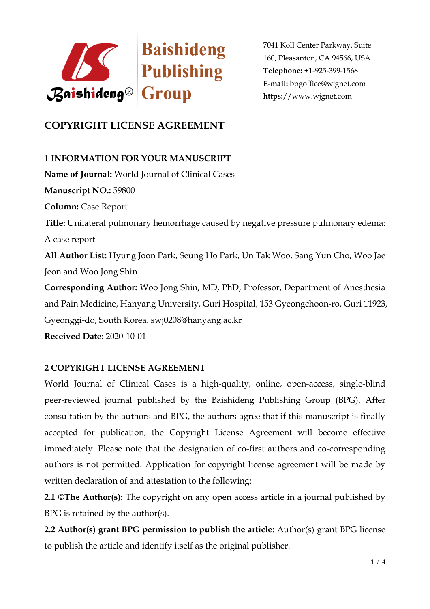

# **COPYRIGHT LICENSE AGREEMENT**

## **1 INFORMATION FOR YOUR MANUSCRIPT**

**Name of Journal:** World Journal of Clinical Cases **Manuscript NO.:** 59800 **Column:** Case Report **Title:** Unilateral pulmonary hemorrhage caused by negative pressure pulmonary edema: A case report **All Author List:** Hyung Joon Park, Seung Ho Park, Un Tak Woo, Sang Yun Cho, Woo Jae Jeon and Woo Jong Shin **Corresponding Author:** Woo Jong Shin, MD, PhD, Professor, Department of Anesthesia and Pain Medicine, Hanyang University, Guri Hospital, 153 Gyeongchoon-ro, Guri 11923, Gyeonggi-do, South Korea. swj0208@hanyang.ac.kr **Received Date:** 2020-10-01

## **2 COPYRIGHT LICENSE AGREEMENT**

World Journal of Clinical Cases is a high-quality, online, open-access, single-blind peer-reviewed journal published by the Baishideng Publishing Group (BPG). After consultation by the authors and BPG, the authors agree that if this manuscript is finally accepted for publication, the Copyright License Agreement will become effective immediately. Please note that the designation of co-first authors and co-corresponding authors is not permitted. Application for copyright license agreement will be made by written declaration of and attestation to the following:

**2.1 ©The Author(s):** The copyright on any open access article in a journal published by BPG is retained by the author(s).

**2.2 Author(s) grant BPG permission to publish the article:** Author(s) grant BPG license to publish the article and identify itself as the original publisher.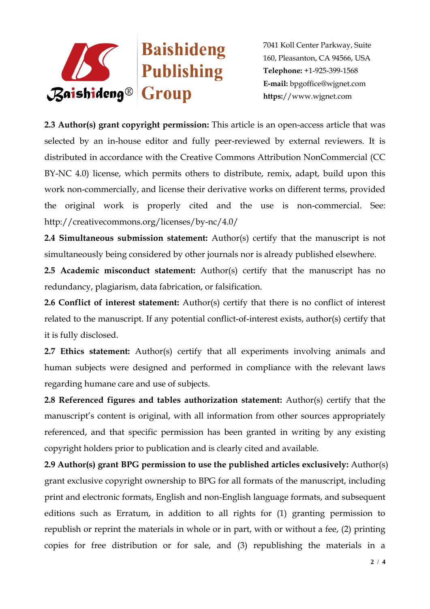

**2.3 Author(s) grant copyright permission:** This article is an open-access article that was selected by an in-house editor and fully peer-reviewed by external reviewers. It is distributed in accordance with the Creative Commons Attribution NonCommercial (CC BY-NC 4.0) license, which permits others to distribute, remix, adapt, build upon this work non-commercially, and license their derivative works on different terms, provided the original work is properly cited and the use is non-commercial. See: http://creativecommons.org/licenses/by-nc/4.0/

**2.4 Simultaneous submission statement:** Author(s) certify that the manuscript is not simultaneously being considered by other journals nor is already published elsewhere.

**2.5 Academic misconduct statement:** Author(s) certify that the manuscript has no redundancy, plagiarism, data fabrication, or falsification.

**2.6 Conflict of interest statement:** Author(s) certify that there is no conflict of interest related to the manuscript. If any potential conflict-of-interest exists, author(s) certify that it is fully disclosed.

**2.7 Ethics statement:** Author(s) certify that all experiments involving animals and human subjects were designed and performed in compliance with the relevant laws regarding humane care and use of subjects.

**2.8 Referenced figures and tables authorization statement:** Author(s) certify that the manuscript's content is original, with all information from other sources appropriately referenced, and that specific permission has been granted in writing by any existing copyright holders prior to publication and is clearly cited and available.

**2.9 Author(s) grant BPG permission to use the published articles exclusively:** Author(s) grant exclusive copyright ownership to BPG for all formats of the manuscript, including print and electronic formats, English and non-English language formats, and subsequent editions such as Erratum, in addition to all rights for (1) granting permission to republish or reprint the materials in whole or in part, with or without a fee, (2) printing copies for free distribution or for sale, and (3) republishing the materials in a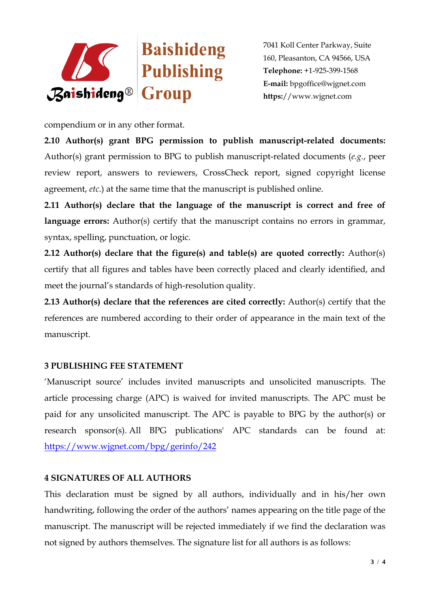

compendium or in any other format.

**2.10 Author(s) grant BPG permission to publish manuscript-related documents:**  Author(s) grant permission to BPG to publish manuscript-related documents (*e.g.*, peer review report, answers to reviewers, CrossCheck report, signed copyright license agreement, *etc*.) at the same time that the manuscript is published online.

**2.11 Author(s) declare that the language of the manuscript is correct and free of**  language errors: Author(s) certify that the manuscript contains no errors in grammar, syntax, spelling, punctuation, or logic.

**2.12 Author(s) declare that the figure(s) and table(s) are quoted correctly:** Author(s) certify that all figures and tables have been correctly placed and clearly identified, and meet the journal's standards of high-resolution quality.

**2.13 Author(s) declare that the references are cited correctly:** Author(s) certify that the references are numbered according to their order of appearance in the main text of the manuscript.

## **3 PUBLISHING FEE STATEMENT**

'Manuscript source' includes invited manuscripts and unsolicited manuscripts. The article processing charge (APC) is waived for invited manuscripts. The APC must be paid for any unsolicited manuscript. The APC is payable to BPG by the author(s) or research sponsor(s). All BPG publications' APC standards can be found at: <https://www.wjgnet.com/bpg/gerinfo/242>

#### **4 SIGNATURES OF ALL AUTHORS**

This declaration must be signed by all authors, individually and in his/her own handwriting, following the order of the authors' names appearing on the title page of the manuscript. The manuscript will be rejected immediately if we find the declaration was not signed by authors themselves. The signature list for all authors is as follows: